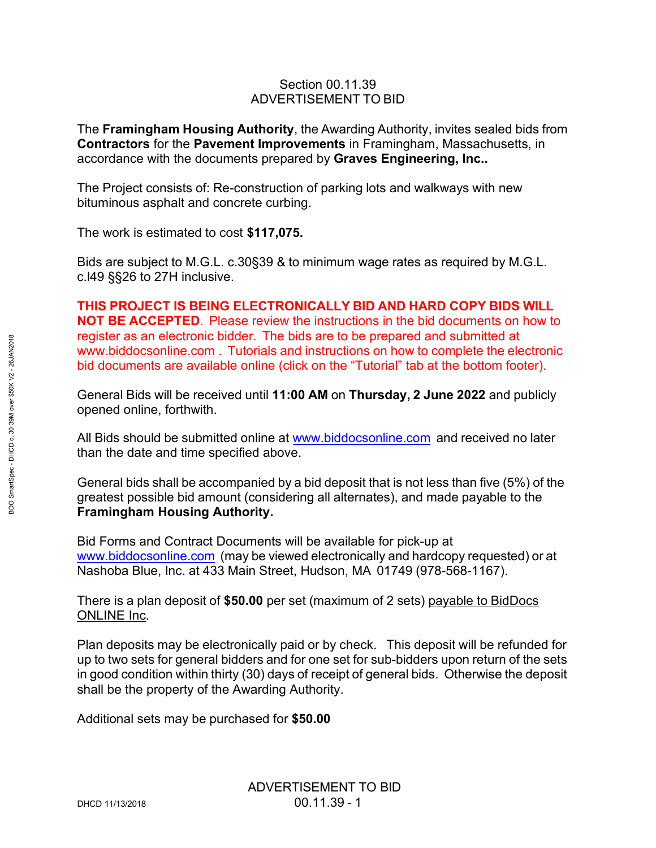## Section 00.11.39 ADVERTISEMENT TO BID

The **Framingham Housing Authority**, the Awarding Authority, invites sealed bids from **Contractors** for the **Pavement Improvements** in Framingham, Massachusetts, in accordance with the documents prepared by **Graves Engineering, Inc..**

The Project consists of: Re-construction of parking lots and walkways with new bituminous asphalt and concrete curbing.

The work is estimated to cost **\$117,075.**

Bids are subject to M.G.L. c.30§39 & to minimum wage rates as required by M.G.L. c.l49 §§26 to 27H inclusive.

**THIS PROJECT IS BEING ELECTRONICALLY BID AND HARD COPY BIDS WILL NOT BE ACCEPTED**. Please review the instructions in the bid documents on how to register as an electronic bidder. The bids are to be prepared and submitted at [www.biddocsonline.com](http://www.biddocsonline.com/) . Tutorials and instructions on how to complete the electronic bid documents are available online (click on the "Tutorial" tab at the bottom footer).

General Bids will be received until **11:00 AM** on **Thursday, 2 June 2022** and publicly opened online, forthwith.

All Bids should be submitted online at [www.biddocsonline.com](http://www.biddocsonline.com/) and received no later than the date and time specified above.

General bids shall be accompanied by a bid deposit that is not less than five (5%) of the greatest possible bid amount (considering all alternates), and made payable to the **Framingham Housing Authority.**

Bid Forms and Contract Documents will be available for pick-up at [www.biddocsonline.com](http://www.biddocsonline.com/) (may be viewed electronically and hardcopy requested) or at Nashoba Blue, Inc. at 433 Main Street, Hudson, MA 01749 (978-568-1167).

There is a plan deposit of **\$50.00** per set (maximum of 2 sets) payable to BidDocs ONLINE Inc.

Plan deposits may be electronically paid or by check. This deposit will be refunded for up to two sets for general bidders and for one set for sub-bidders upon return of the sets in good condition within thirty (30) days of receipt of general bids. Otherwise the deposit shall be the property of the Awarding Authority.

Additional sets may be purchased for **\$50.00**